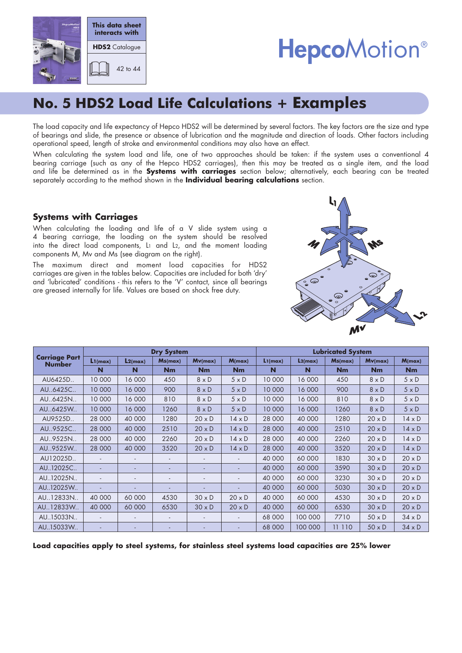

# **HepcoMotion®**

# **No. 5 HDS2 Load Life Calculations + Examples**

The load capacity and life expectancy of Hepco HDS2 will be determined by several factors. The key factors are the size and type of bearings and slide, the presence or absence of lubrication and the magnitude and direction of loads. Other factors including operational speed, length of stroke and environmental conditions may also have an effect.

When calculating the system load and life, one of two approaches should be taken: if the system uses a conventional 4 bearing carriage (such as any of the Hepco HDS2 carriages), then this may be treated as a single item, and the load and life be determined as in the **Systems with carriages** section below; alternatively, each bearing can be treated separately according to the method shown in the **Individual bearing calculations** section.

### **Systems with Carriages**

When calculating the loading and life of a V slide system using a 4 bearing carriage, the loading on the system should be resolved into the direct load components, L1 and L2, and the moment loading components M, Mv and Ms (see diagram on the right).

The maximum direct and moment load capacities for HDS2 carriages are given in the tables below. Capacities are included for both 'dry' and 'lubricated' conditions - this refers to the 'V' contact, since all bearings are greased internally for life. Values are based on shock free duty.



|                                       | <b>Dry System</b> |                          |         |                          |               | <b>Lubricated System</b> |                      |         |               |               |
|---------------------------------------|-------------------|--------------------------|---------|--------------------------|---------------|--------------------------|----------------------|---------|---------------|---------------|
| <b>Carriage Part</b><br><b>Number</b> | L1(max)           | L2(max)                  | Ms(max) | Mv(max)                  | M(max)        | L1(max)                  | L <sub>2</sub> (max) | Ms(max) | Mv(max)       | M(max)        |
|                                       | N                 | N                        | Nm      | Nm                       | Nm            | N                        | N                    | Nm      | Nm            | <b>Nm</b>     |
| AU6425D                               | 10 000            | 16 000                   | 450     | $8 \times D$             | $5 \times D$  | 10 000                   | 16 000               | 450     | $8 \times D$  | $5 \times D$  |
| AU.,6425C.,                           | 10 000            | 16 000                   | 900     | $8 \times D$             | $5 \times D$  | 10 000                   | 16 000               | 900     | $8 \times D$  | $5 \times D$  |
| AU6425N                               | 10 000            | 16 000                   | 810     | $8 \times D$             | $5 \times D$  | 10 000                   | 16 000               | 810     | $8 \times D$  | $5 \times D$  |
| AU.,6425W.,                           | 10 000            | 16 000                   | 1260    | $8 \times D$             | $5 \times D$  | 10 000                   | 16 000               | 1260    | $8 \times D$  | $5 \times D$  |
| AU9525D                               | 28 000            | 40 000                   | 1280    | $20 \times D$            | $14 \times D$ | 28 000                   | 40 000               | 1280    | $20 \times D$ | $14 \times D$ |
| AU., 9525C                            | 28 000            | 40 000                   | 2510    | $20 \times D$            | $14 \times D$ | 28 000                   | 40 000               | 2510    | $20 \times D$ | $14 \times D$ |
| AU.,9525N                             | 28 000            | 40 000                   | 2260    | $20 \times D$            | $14 \times D$ | 28 000                   | 40 000               | 2260    | $20 \times D$ | $14 \times D$ |
| AU.,9525W.,                           | 28 000            | 40 000                   | 3520    | $20 \times D$            | $14 \times D$ | 28 000                   | 40 000               | 3520    | $20 \times D$ | $14 \times D$ |
| AU12025D                              |                   |                          |         |                          |               | 40 000                   | 60 000               | 1830    | $30 \times D$ | $20 \times D$ |
| AU12025C                              |                   |                          |         |                          |               | 40 000                   | 60 000               | 3590    | $30 \times D$ | $20 \times D$ |
| AU12025N                              |                   |                          |         | $\overline{\phantom{a}}$ |               | 40 000                   | 60 000               | 3230    | $30 \times D$ | $20 \times D$ |
| AU12025W                              |                   |                          |         |                          |               | 40 000                   | 60 000               | 5030    | $30 \times D$ | $20 \times D$ |
| AU12833N                              | 40 000            | 60 000                   | 4530    | $30 \times D$            | $20 \times D$ | 40 000                   | 60 000               | 4530    | $30 \times D$ | $20 \times D$ |
| AU12833W                              | 40 000            | 60 000                   | 6530    | $30 \times D$            | $20 \times D$ | 40 000                   | 60 000               | 6530    | $30 \times D$ | $20 \times D$ |
| AU15033N                              |                   | $\overline{\phantom{a}}$ | ٠       | $\overline{\phantom{a}}$ |               | 68 000                   | 100 000              | 7710    | $50 \times D$ | $34 \times D$ |
| AU15033W                              |                   |                          |         |                          |               | 68 000                   | 100 000              | 11 110  | $50 \times D$ | $34 \times D$ |

**Load capacities apply to steel systems, for stainless steel systems load capacities are 25% lower**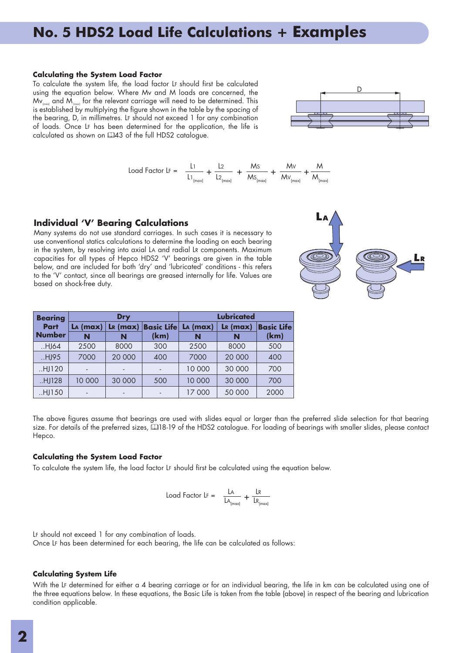#### **Calculating the System Load Factor**

To calculate the system life, the load factor LF should first be calculated using the equation below. Where Mv and M loads are concerned, the  $Mv_{\text{final}}$  and  $M_{\text{final}}$  for the relevant carriage will need to be determined. This is established by multiplying the figure shown in the table by the spacing of the bearing, D, in millimetres. LF should not exceed 1 for any combination of loads. Once LF has been determined for the application, the life is calculated as shown on 443 of the full HDS2 catalogue.

$$
Load Factor LF = \frac{L1}{L1_{(max)}} + \frac{L2}{L2_{(max)}} + \frac{Ms}{MS_{(max)}} + \frac{Mv}{MV_{(max)}} + \frac{M}{MV_{(max)}}
$$



**LA (max) LR (max) Basic Life** 

Many systems do not use standard carriages. In such cases it is necessary to use conventional statics calculations to determine the loading on each bearing in the system, by resolving into axial LA and radial LR components. Maximum capacities for all types of Hepco HDS2 'V' bearings are given in the table below, and are included for both 'dry' and 'lubricated' conditions - this refers to the 'V' contact, since all bearings are greased internally for life. Values are based on shock-free duty.

**(km)**

..HJ64 | 2500 | 8000 | 300 | 2500 | 8000 | 500 ..HJ95 | 7000 | 20 000 | 400 | 7000 | 20 000 | 400 ..HJ120 | - | - | - | 10 000 | 30 000 | 700 ..HJ128 | 10 000 | 30 000 | 500 | 10 000 | 30 000 | 700 ..HJ150 | - | - | - | 17 000 | 50 000 | 2000

| The above figures assume that bearings are used with slides equal or larger than the preferred slide selection for that bearing      |
|--------------------------------------------------------------------------------------------------------------------------------------|
| size. For details of the preferred sizes, [118-19 of the HDS2 catalogue. For loading of bearings with smaller slides, please contact |
| Hepco.                                                                                                                               |

**LA (max) LR (max) Basic Life** 

#### **Calculating the System Load Factor**

**Bearing Part Number**

To calculate the system life, the load factor LF should first be calculated using the equation below.

**Dry Lubricated** 

**NN N N (km)**

$$
Load Factor LF = \frac{LA}{LA_{(max)}} + \frac{LR}{LR_{(max)}}
$$

LF should not exceed 1 for any combination of loads. Once LF has been determined for each bearing, the life can be calculated as follows:

#### **Calculating System Life**

With the LF determined for either a 4 bearing carriage or for an individual bearing, the life in km can be calculated using one of the three equations below. In these equations, the Basic Life is taken from the table (above) in respect of the bearing and lubrication condition applicable.



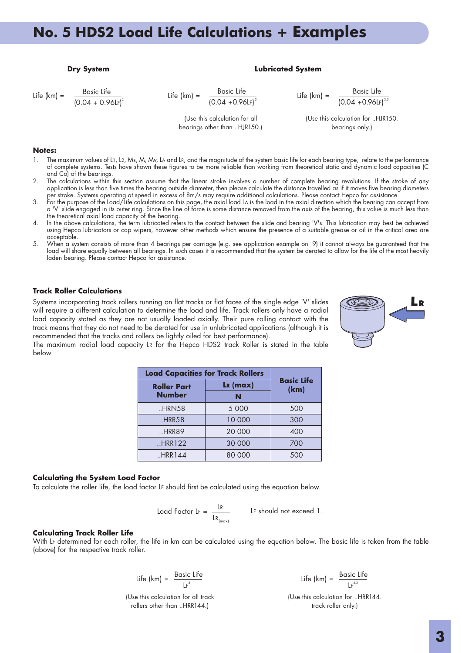#### **Dry System Contract Contract Contract Contract Contract Contract Contract Contract Contract Contract Contract Contract Contract Contract Contract Contract Contract Contract Contract Contract Contract Contract Contract Con**

Life  $(km) =$  Basic Life  $(0.04 + 0.961)$  Life  $(km) =$  Basic Life

 $(0.04 + 0.96$ 

 $\frac{1}{3}$  Life (km) =  $\frac{\text{Basic Life}}{(0.04 + 0.96 \text{Lf})^{3.3}}$ 

(Use this calculation for all bearings other than ..HJR150.) (Use this calculation for ..HJR150. bearings only.)

#### **Notes:**

- 1. The maximum values of L1, L2, Ms, M, Mv, LA and LR, and the magnitude of the system basic life for each bearing type, relate to the performance of complete systems. Tests have shown these figures to be more reliable than working from theoretical static and dynamic load capacities (C and Co) of the bearings.
- 2. The calculations within this section assume that the linear stroke involves a number of complete bearing revolutions. If the stroke of any application is less than five times the bearing outside diameter, then please calculate the distance travelled as if it moves five bearing diameters per stroke. Systems operating at speed in excess of 8m/s may require additional calculations. Please contact Hepco for assistance.
- 3. For the purpose of the Load/Life calculations on this page, the axial load LA is the load in the axial direction which the bearing can accept from a 'V' slide engaged in its outer ring. Since the line of force is some distance removed from the axis of the bearing, this value is much less than the theoretical axial load capacity of the bearing.
- 4. In the above calculations, the term lubricated refers to the contact between the slide and bearing 'V's. This lubrication may best be achieved using Hepco lubricators or cap wipers, however other methods which ensure the presence of a suitable grease or oil in the critical area are acceptable.
- 5. When a system consists of more than 4 bearings per carriage (e.g. see application example on 9) it cannot always be guaranteed that the load will share equally between all bearings. In such cases it is recommended that the system be derated to allow for the life of the most heavily laden bearing. Please contact Hepco for assistance.

#### **Track Roller Calculations**

Systems incorporating track rollers running on flat tracks or flat faces of the single edge 'V' slides will require a different calculation to determine the load and life. Track rollers only have a radial load capacity stated as they are not usually loaded axially. Their pure rolling contact with the track means that they do not need to be derated for use in unlubricated applications (although it is recommended that the tracks and rollers be lightly oiled for best performance).



The maximum radial load capacity LR for the Hepco HDS2 track Roller is stated in the table below.

| <b>Load Capacities for Track Rollers</b> |                              |                           |  |  |
|------------------------------------------|------------------------------|---------------------------|--|--|
| <b>Roller Part</b>                       | $\mathsf{L}\mathsf{R}$ (max) | <b>Basic Life</b><br>(km) |  |  |
| <b>Number</b>                            | N                            |                           |  |  |
| .HRN58                                   | 5 0 0 0                      | 500                       |  |  |
| .HRR58                                   | 10 000                       | 300                       |  |  |
| .HRR89                                   | 20 000                       | 400                       |  |  |
| .HRR122                                  | 30 000                       | 700                       |  |  |
| .HRR144                                  | 80 000                       | 500                       |  |  |

#### **Calculating the System Load Factor**

To calculate the roller life, the load factor LF should first be calculated using the equation below.

$$
Load Factor LF = \frac{LR}{LR_{(max)}} \qquad LF should not exceed 1.
$$

#### **Calculating Track Roller Life**

With LF determined for each roller, the life in km can be calculated using the equation below. The basic life is taken from the table (above) for the respective track roller.

Life (km) = 
$$
\frac{\text{Basic Life}}{\text{LF}^3}
$$

(Use this calculation for all track rollers other than ..HRR144.)

<sup>3</sup> Life (km) = Basic Life LF 3.3

(Use this calculation for ..HRR144. track roller only.)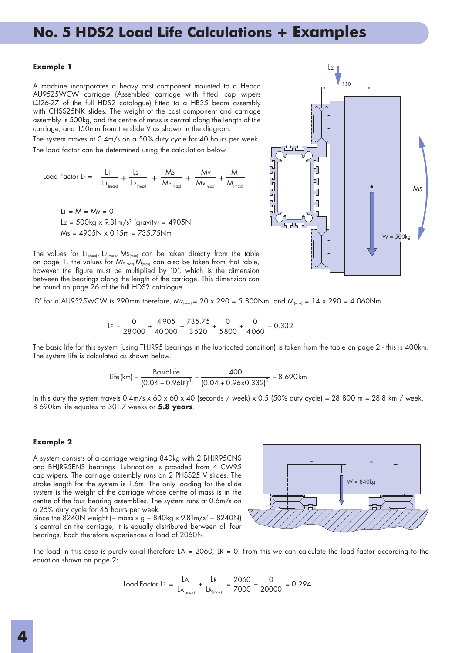#### **Example 1**

A machine incorporates a heavy cast component mounted to a Hepco AU9525WCW carriage (Assembled carriage with fitted cap wipers E26-27 of the full HDS2 catalogue) fitted to a HB25 beam assembly with CHSS25NK slides. The weight of the cast component and carriage assembly is 500kg, and the centre of mass is central along the length of the carriage, and 150mm from the slide V as shown in the diagram.

The system moves at 0.4m/s on a 50% duty cycle for 40 hours per week. The load factor can be determined using the calculation below.

Load Factor LF =

\n
$$
\frac{L1}{L1_{\text{[max]}}} + \frac{L2}{L2_{\text{[max]}}} + \frac{Ms}{Ms_{\text{[max]}}} + \frac{Mv}{Mv_{\text{[max]}}} + \frac{M}{M_{\text{[max]}}}
$$
\n
$$
L1 = M = Mv = 0
$$
\n
$$
L2 = 500 \text{kg} \times 9.81 \text{m/s}^2 \text{ (gravity)} = 4905 \text{N}
$$

The values for  $L_1_{\text{max}}$ ,  $L_2_{\text{max}}$ , Ms<sub>(max)</sub> can be taken directly from the table on page 1, the values for  $M_{V_{(max)}} M_{V_{(max)}}$  can also be taken from that table, however the figure must be multiplied by 'D', which is the dimension between the bearings along the length of the carriage. This dimension can be found on page 26 of the full HDS2 catalogue.

 $Ms = 4905N \times 0.15m = 735.75Nm$ 

'D' for a AU9525WCW is 290mm therefore,  $Mv_{\text{[max]}} = 20 \times 290 = 5800 \text{Nm}$ , and  $M_{\text{[max]}} = 14 \times 290 = 4000 \text{Nm}$ .

$$
LF = \frac{0}{28000} + \frac{4905}{40000} + \frac{735.75}{3520} + \frac{0}{5800} + \frac{0}{4060} = 0.332
$$

The basic life for this system (using THJR95 bearings in the lubricated condition) is taken from the table on page 2 - this is 400km. The system life is calculated as shown below.

Life (km) = 
$$
\frac{\text{Basic Life}}{(0.04 + 0.96 \text{LF})^3} = \frac{400}{(0.04 + 0.96 \times 0.332)^3} = 8.690 \text{ km}
$$

In this duty the system travels  $0.4$ m/s x  $60 \times 60 \times 40$  (seconds / week) x 0.5 (50% duty cycle) = 28 800 m = 28.8 km / week. 8 690km life equates to 301.7 weeks or **5.8 years**.

#### **Example 2**

A system consists of a carriage weighing 840kg with 2 BHJR95CNS and BHJR95ENS bearings. Lubrication is provided from 4 CW95 cap wipers. The carriage assembly runs on 2 PHSS25 V slides. The stroke length for the system is 1.6m. The only loading for the slide system is the weight of the carriage whose centre of mass is in the centre of the four bearing assemblies. The system runs at 0.6m/s on a 25% duty cycle for 45 hours per week.

Since the 8240N weight (= mass  $x$  g = 840kg  $x$  9.81m/s<sup>2</sup> = 8240N) is central on the carriage, it is equally distributed between all four bearings. Each therefore experiences a load of 2060N.



The load in this case is purely axial therefore  $LA = 2060$ ,  $LR = 0$ . From this we can calculate the load factor according to the equation shown on page 2:

$$
Load Factor LF = \frac{LA}{LA_{(max)}} + \frac{LR}{LR_{(max)}} = \frac{2060}{7000} + \frac{0}{20000} = 0.294
$$

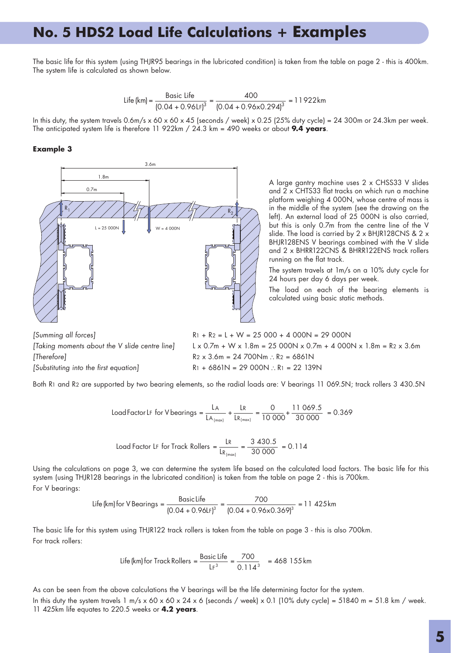The basic life for this system (using THJR95 bearings in the lubricated condition) is taken from the table on page 2 - this is 400km. The system life is calculated as shown below.

Life (km) = 
$$
\frac{\text{Basic Life}}{(0.04 + 0.961 \text{F})^3} = \frac{400}{(0.04 + 0.96 \times 0.294)^3} = 11922 \text{km}
$$

In this duty, the system travels  $0.6$ m/s x  $60 \times 45$  (seconds / week) x 0.25 (25% duty cycle) = 24 300m or 24.3km per week. The anticipated system life is therefore 11 922km / 24.3 km = 490 weeks or about **9.4 years**.

### **Example 3**



A large gantry machine uses 2 x CHSS33 V slides and 2 x CHTS33 flat tracks on which run a machine platform weighing 4 000N, whose centre of mass is in the middle of the system (see the drawing on the left). An external load of 25 000N is also carried, but this is only 0.7m from the centre line of the V slide. The load is carried by 2 x BHJR128CNS & 2 x BHJR128ENS V bearings combined with the V slide and 2 x BHRR122CNS & BHRR122ENS track rollers running on the flat track.

The system travels at 1m/s on a 10% duty cycle for 24 hours per day 6 days per week.

The load on each of the bearing elements is calculated using basic static methods.

[Summing all forces] [Taking moments about the V slide centre line] [Therefore] [Substituting into the first equation]  $R1 + R2 = L + W = 25000 + 4000N = 29000N$  $L \times 0.7m + W \times 1.8m = 25 000N \times 0.7m + 4 000N \times 1.8m = R2 \times 3.6m$  $R2 \times 3.6m = 24700Nm$   $\therefore$  R<sub>2</sub> = 6861N  $R1 + 6861N = 29000N$   $\therefore$  R<sub>1</sub> = 22 139N

Both R1 and R2 are supported by two bearing elements, so the radial loads are: V bearings 11 069.5N; track rollers 3 430.5N

$$
LoadFactorLF for V bearings = \frac{LA}{LA_{(max)}} + \frac{LR}{LR_{(max)}} = \frac{0}{10000} + \frac{11069.5}{30000} = 0.369
$$

$$
Load Factor LF for Track Rollers = \frac{LR}{LR_{(max)}} = \frac{3\ 430.5}{30\ 000} = 0.114
$$

Using the calculations on page 3, we can determine the system life based on the calculated load factors. The basic life for this system (using THJR128 bearings in the lubricated condition) is taken from the table on page 2 - this is 700km. For V bearings:

Life (km) for V Bearings = 
$$
\frac{\text{Basic Life}}{(0.04 + 0.96 \text{L})^3} = \frac{700}{(0.04 + 0.96 \times 0.369)^3} = 11.425 \text{km}
$$

For track rollers: The basic life for this system using THJR122 track rollers is taken from the table on page 3 - this is also 700km.

$$
\text{Life (km) for Track Rollers} = \frac{\text{Basic Life}}{\text{LF}^3} = \frac{700}{0.114^3} = 468\,155\,\text{km}
$$

As can be seen from the above calculations the V bearings will be the life determining factor for the system. In this duty the system travels  $1 \text{ m/s} \times 60 \times 60 \times 24 \times 6$  (seconds / week)  $\times$  0.1 (10% duty cycle) = 51840 m = 51.8 km / week. 11 425km life equates to 220.5 weeks or **4.2 years**.